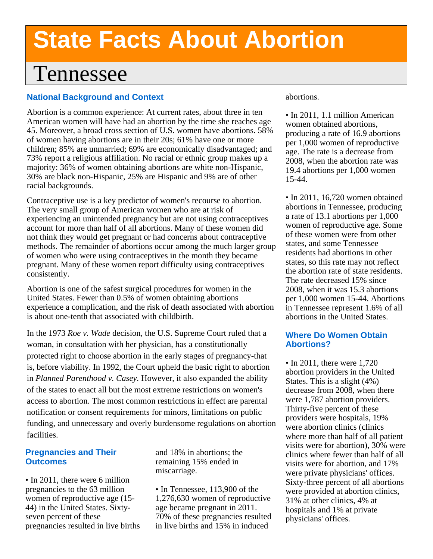# **State Facts About Abortion**

# Tennessee

# **National Background and Context**

Abortion is a common experience: At current rates, about three in ten American women will have had an abortion by the time she reaches age 45. Moreover, a broad cross section of U.S. women have abortions. 58% of women having abortions are in their 20s; 61% have one or more children; 85% are unmarried; 69% are economically disadvantaged; and 73% report a religious affiliation. No racial or ethnic group makes up a majority: 36% of women obtaining abortions are white non-Hispanic, 30% are black non-Hispanic, 25% are Hispanic and 9% are of other racial backgrounds.

Contraceptive use is a key predictor of women's recourse to abortion. The very small group of American women who are at risk of experiencing an unintended pregnancy but are not using contraceptives account for more than half of all abortions. Many of these women did not think they would get pregnant or had concerns about contraceptive methods. The remainder of abortions occur among the much larger group of women who were using contraceptives in the month they became pregnant. Many of these women report difficulty using contraceptives consistently.

Abortion is one of the safest surgical procedures for women in the United States. Fewer than 0.5% of women obtaining abortions experience a complication, and the risk of death associated with abortion is about one-tenth that associated with childbirth.

In the 1973 *Roe v. Wade* decision, the U.S. Supreme Court ruled that a woman, in consultation with her physician, has a constitutionally protected right to choose abortion in the early stages of pregnancy-that is, before viability. In 1992, the Court upheld the basic right to abortion in *Planned Parenthood v. Casey.* However, it also expanded the ability of the states to enact all but the most extreme restrictions on women's access to abortion. The most common restrictions in effect are parental notification or consent requirements for minors, limitations on public funding, and unnecessary and overly burdensome regulations on abortion facilities.

## **Pregnancies and Their Outcomes**

• In 2011, there were 6 million pregnancies to the 63 million women of reproductive age (15- 44) in the United States. Sixtyseven percent of these pregnancies resulted in live births

and 18% in abortions; the remaining 15% ended in miscarriage.

• In Tennessee, 113,900 of the 1,276,630 women of reproductive age became pregnant in 2011. 70% of these pregnancies resulted in live births and 15% in induced

#### abortions.

• In 2011, 1.1 million American women obtained abortions, producing a rate of 16.9 abortions per 1,000 women of reproductive age. The rate is a decrease from 2008, when the abortion rate was 19.4 abortions per 1,000 women 15-44.

• In 2011, 16,720 women obtained abortions in Tennessee, producing a rate of 13.1 abortions per 1,000 women of reproductive age. Some of these women were from other states, and some Tennessee residents had abortions in other states, so this rate may not reflect the abortion rate of state residents. The rate decreased 15% since 2008, when it was 15.3 abortions per 1,000 women 15-44. Abortions in Tennessee represent 1.6% of all abortions in the United States.

## **Where Do Women Obtain Abortions?**

• In 2011, there were 1,720 abortion providers in the United States. This is a slight (4%) decrease from 2008, when there were 1,787 abortion providers. Thirty-five percent of these providers were hospitals, 19% were abortion clinics (clinics where more than half of all patient visits were for abortion), 30% were clinics where fewer than half of all visits were for abortion, and 17% were private physicians' offices. Sixty-three percent of all abortions were provided at abortion clinics, 31% at other clinics, 4% at hospitals and 1% at private physicians' offices.